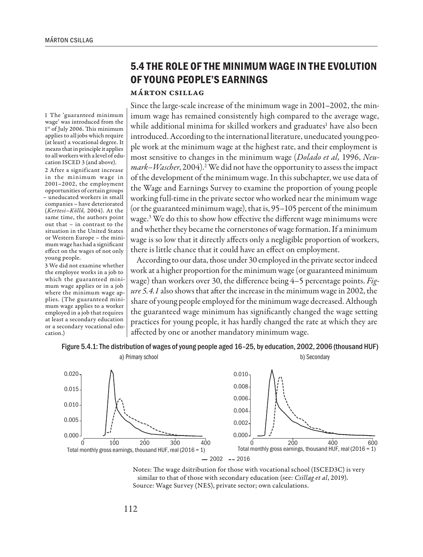## **5.4 THE ROLE OF THE MINIMUM WAGE IN THE EVOLUTION OF YOUNG PEOPLE'S EARNINGS**

## Márton Csillag

Since the large-scale increase of the minimum wage in 2001–2002, the minimum wage has remained consistently high compared to the average wage, while additional minima for skilled workers and graduates<sup>1</sup> have also been introduced. According to the international literature, uneducated young people work at the minimum wage at the highest rate, and their employment is most sensitive to changes in the minimum wage (*Dolado et al,* 1996, *Neu*mark–Wascher, 2004).<sup>2</sup> We did not have the opportunity to assess the impact of the development of the minimum wage. In this subchapter, we use data of the Wage and Earnings Survey to examine the proportion of young people working full-time in the private sector who worked near the minimum wage (or the guaranteed minimum wage), that is, 95–105 percent of the minimum wage.3 We do this to show how effective the different wage minimums were and whether they became the cornerstones of wage formation. If a minimum wage is so low that it directly affects only a negligible proportion of workers, there is little chance that it could have an effect on employment.

According to our data, those under 30 employed in the private sector indeed work at a higher proportion for the minimum wage (or guaranteed minimum wage) than workers over 30, the difference being 4–5 percentage points. *Figure 5.4.1* also shows that after the increase in the minimum wage in 2002, the share of young people employed for the minimum wage decreased. Although the guaranteed wage minimum has significantly changed the wage setting practices for young people, it has hardly changed the rate at which they are affected by one or another mandatory minimum wage.

## Figure 5.4.1: The distribution of wages of young people aged 16–25, by education, 2002, 2006 (thousand HUF)



Notes: The wage dsitribution for those with vocational school (ISCED3C) is very similar to that of those with secondary education (see: *Csillag et al*, 2019). Source: Wage Survey (NES), private sector; own calculations.

1 The 'guaranteed minimum wage' was introduced from the 1<sup>st</sup> of July 2006. This minimum applies to all jobs which require (at least) a vocational degree. It means that in principle it applies to all workers with a level of education ISCED 3 (and above). 2 After a significant increase in the minimum wage in 2001–2002, the employment opportunities of certain groups – uneducated workers in small companies – have deteriorated (*Kertesi–Köllő,* 2004). At the same time, the authors point out that – in contrast to the situation in the United States or Western Europe – the minimum wage has had a significant effect on the wages of not only young people.

3 We did not examine whether the employee works in a job to which the guaranteed minimum wage applies or in a job where the minimum wage applies. (The guaranteed minimum wage applies to a worker employed in a job that requires at least a secondary education or a secondary vocational education.)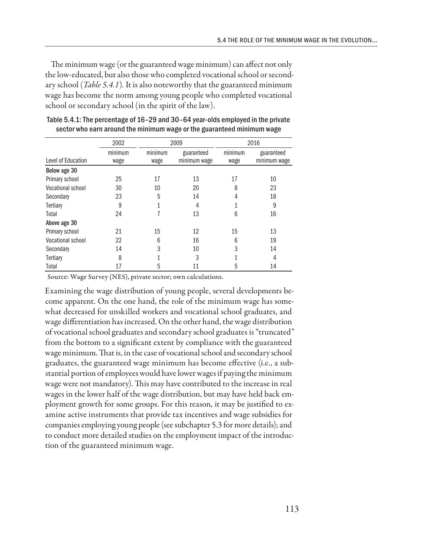The minimum wage (or the guaranteed wage minimum) can affect not only the low-educated, but also those who completed vocational school or secondary school (*Table 5.4.1*)*.* It is also noteworthy that the guaranteed minimum wage has become the norm among young people who completed vocational school or secondary school (in the spirit of the law).

|                    | 2002    | 2009    |              | 2016    |              |
|--------------------|---------|---------|--------------|---------|--------------|
|                    | minimum | minimum | guaranteed   | minimum | guaranteed   |
| Level of Education | wage    | wage    | minimum wage | wage    | minimum wage |
| Below age 30       |         |         |              |         |              |
| Primary school     | 25      | 17      | 13           | 17      | 10           |
| Vocational school  | 30      | 10      | 20           | 8       | 23           |
| Secondary          | 23      | 5       | 14           | 4       | 18           |
| Tertiary           | 9       |         | 4            |         | 9            |
| Total              | 24      | 7       | 13           | 6       | 16           |
| Above age 30       |         |         |              |         |              |
| Primary school     | 21      | 15      | 12           | 15      | 13           |
| Vocational school  | 22      | 6       | 16           | 6       | 19           |
| Secondary          | 14      | 3       | 10           | 3       | 14           |
| Tertiary           | 8       |         | 3            |         | 4            |
| Total              | 17      | 5       | 11           | 5       | 14           |

Table 5.4.1: The percentage of 16–29 and 30–64 year-olds employed in the private sector who earn around the minimum wage or the guaranteed minimum wage

Source: Wage Survey (NES), private sector; own calculations.

Examining the wage distribution of young people, several developments become apparent. On the one hand, the role of the minimum wage has somewhat decreased for unskilled workers and vocational school graduates, and wage differentiation has increased. On the other hand, the wage distribution of vocational school graduates and secondary school graduates is "truncated" from the bottom to a significant extent by compliance with the guaranteed wage minimum. That is, in the case of vocational school and secondary school graduates, the guaranteed wage minimum has become effective (i.e., a substantial portion of employees would have lower wages if paying the minimum wage were not mandatory). This may have contributed to the increase in real wages in the lower half of the wage distribution, but may have held back employment growth for some groups. For this reason, it may be justified to examine active instruments that provide tax incentives and wage subsidies for companies employing young people (see subchapter 5.3 for more details); and to conduct more detailed studies on the employment impact of the introduction of the guaranteed minimum wage.